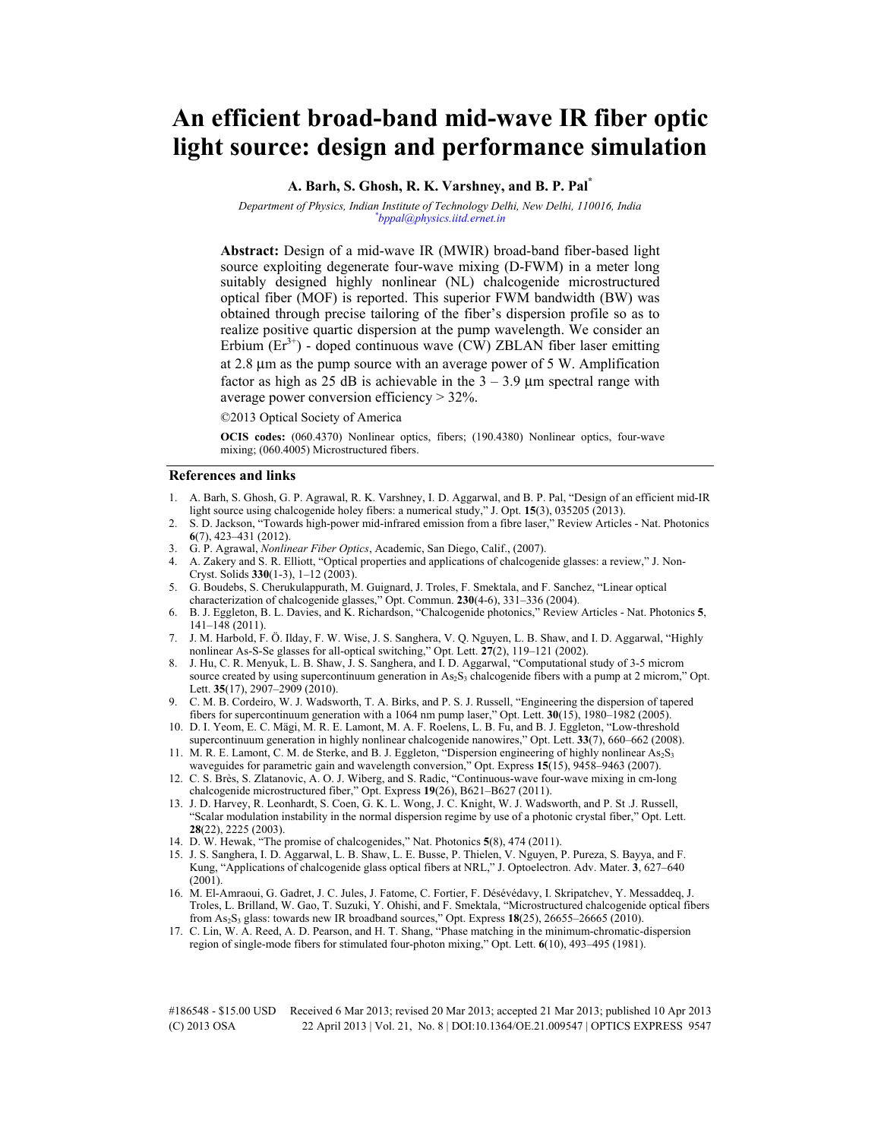# **An efficient broad-band mid-wave IR fiber optic light source: design and performance simulation**

**A. Barh, S. Ghosh, R. K. Varshney, and B. P. Pal\***

*Department of Physics, Indian Institute of Technology Delhi, New Delhi, 110016, India \* bppal@physics.iitd.ernet.in* 

**Abstract:** Design of a mid-wave IR (MWIR) broad-band fiber-based light source exploiting degenerate four-wave mixing (D-FWM) in a meter long suitably designed highly nonlinear (NL) chalcogenide microstructured optical fiber (MOF) is reported. This superior FWM bandwidth (BW) was obtained through precise tailoring of the fiber's dispersion profile so as to realize positive quartic dispersion at the pump wavelength. We consider an Erbium  $(Er^{3+})$  - doped continuous wave (CW) ZBLAN fiber laser emitting at 2.8 µm as the pump source with an average power of 5 W. Amplification factor as high as 25 dB is achievable in the  $3 - 3.9$  µm spectral range with average power conversion efficiency > 32%.

©2013 Optical Society of America

**OCIS codes:** (060.4370) Nonlinear optics, fibers; (190.4380) Nonlinear optics, four-wave mixing; (060.4005) Microstructured fibers.

## **References and links**

- 1. A. Barh, S. Ghosh, G. P. Agrawal, R. K. Varshney, I. D. Aggarwal, and B. P. Pal, "Design of an efficient mid-IR light source using chalcogenide holey fibers: a numerical study," J. Opt. **15**(3), 035205 (2013).
- 2. S. D. Jackson, "Towards high-power mid-infrared emission from a fibre laser," Review Articles Nat. Photonics **6**(7), 423–431 (2012).
- 3. G. P. Agrawal, *Nonlinear Fiber Optics*, Academic, San Diego, Calif., (2007).
- 4. A. Zakery and S. R. Elliott, "Optical properties and applications of chalcogenide glasses: a review," J. Non-Cryst. Solids **330**(1-3), 1–12 (2003).
- 5. G. Boudebs, S. Cherukulappurath, M. Guignard, J. Troles, F. Smektala, and F. Sanchez, "Linear optical characterization of chalcogenide glasses," Opt. Commun. **230**(4-6), 331–336 (2004).
- 6. B. J. Eggleton, B. L. Davies, and K. Richardson, "Chalcogenide photonics," Review Articles Nat. Photonics **5**, 141–148 (2011).
- 7. J. M. Harbold, F. Ö. Ilday, F. W. Wise, J. S. Sanghera, V. Q. Nguyen, L. B. Shaw, and I. D. Aggarwal, "Highly nonlinear As-S-Se glasses for all-optical switching," Opt. Lett. **27**(2), 119–121 (2002).
- 8. J. Hu, C. R. Menyuk, L. B. Shaw, J. S. Sanghera, and I. D. Aggarwal, "Computational study of 3-5 microm source created by using supercontinuum generation in  $As_2S_3$  chalcogenide fibers with a pump at 2 microm," Opt. Lett. **35**(17), 2907–2909 (2010).
- 9. C. M. B. Cordeiro, W. J. Wadsworth, T. A. Birks, and P. S. J. Russell, "Engineering the dispersion of tapered fibers for supercontinuum generation with a 1064 nm pump laser," Opt. Lett. **30**(15), 1980–1982 (2005).
- 10. D. I. Yeom, E. C. Mägi, M. R. E. Lamont, M. A. F. Roelens, L. B. Fu, and B. J. Eggleton, "Low-threshold supercontinuum generation in highly nonlinear chalcogenide nanowires," Opt. Lett. **33**(7), 660–662 (2008).
- 11. M. R. E. Lamont, C. M. de Sterke, and B. J. Eggleton, "Dispersion engineering of highly nonlinear As<sub>2</sub>S<sub>3</sub> waveguides for parametric gain and wavelength conversion," Opt. Express **15**(15), 9458–9463 (2007).
- 12. C. S. Brès, S. Zlatanovic, A. O. J. Wiberg, and S. Radic, "Continuous-wave four-wave mixing in cm-long chalcogenide microstructured fiber," Opt. Express **19**(26), B621–B627 (2011).
- 13. J. D. Harvey, R. Leonhardt, S. Coen, G. K. L. Wong, J. C. Knight, W. J. Wadsworth, and P. St .J. Russell, "Scalar modulation instability in the normal dispersion regime by use of a photonic crystal fiber," Opt. Lett. **28**(22), 2225 (2003).
- 14. D. W. Hewak, "The promise of chalcogenides," Nat. Photonics **5**(8), 474 (2011).
- 15. J. S. Sanghera, I. D. Aggarwal, L. B. Shaw, L. E. Busse, P. Thielen, V. Nguyen, P. Pureza, S. Bayya, and F. Kung, "Applications of chalcogenide glass optical fibers at NRL," J. Optoelectron. Adv. Mater. **3**, 627–640 (2001).
- 16. M. El-Amraoui, G. Gadret, J. C. Jules, J. Fatome, C. Fortier, F. Désévédavy, I. Skripatchev, Y. Messaddeq, J. Troles, L. Brilland, W. Gao, T. Suzuki, Y. Ohishi, and F. Smektala, "Microstructured chalcogenide optical fibers from As2S3 glass: towards new IR broadband sources," Opt. Express **18**(25), 26655–26665 (2010).
- 17. C. Lin, W. A. Reed, A. D. Pearson, and H. T. Shang, "Phase matching in the minimum-chromatic-dispersion region of single-mode fibers for stimulated four-photon mixing," Opt. Lett. **6**(10), 493–495 (1981).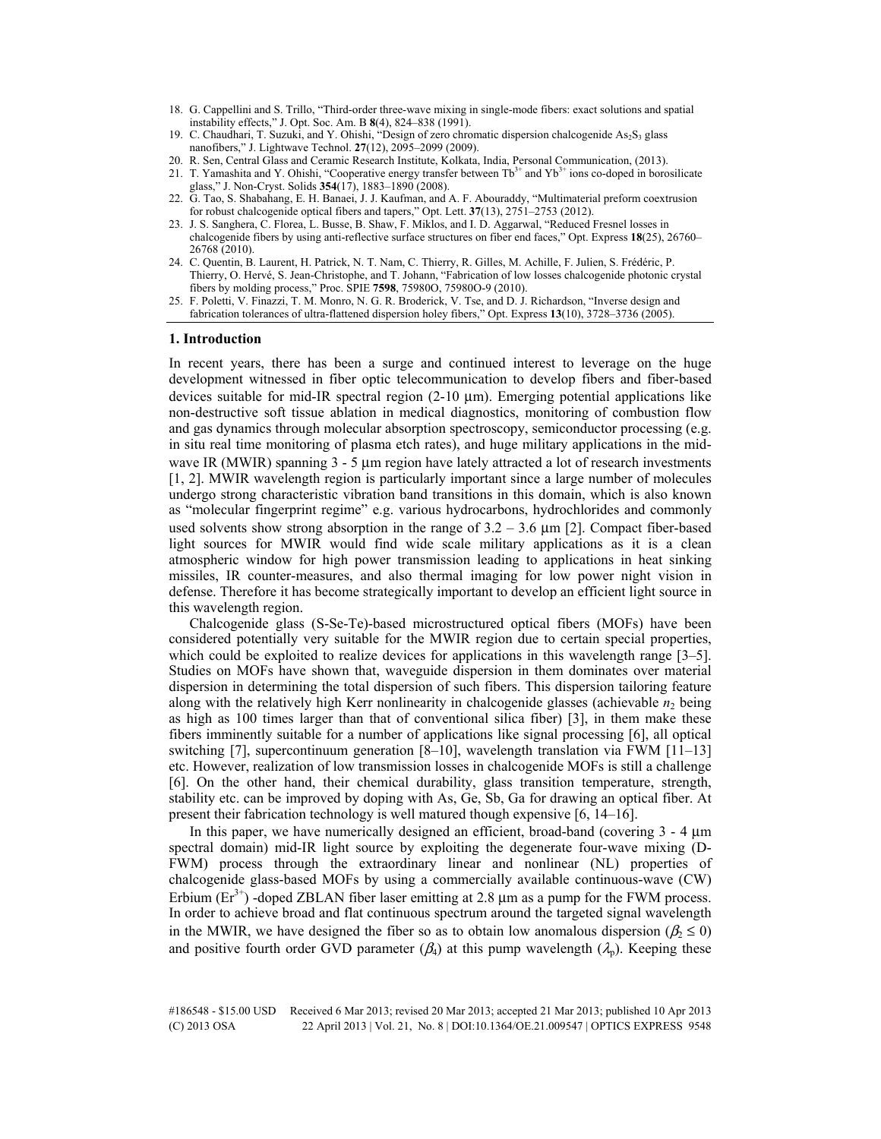- 18. G. Cappellini and S. Trillo, "Third-order three-wave mixing in single-mode fibers: exact solutions and spatial instability effects," J. Opt. Soc. Am. B **8**(4), 824–838 (1991).
- 19. C. Chaudhari, T. Suzuki, and Y. Ohishi, "Design of zero chromatic dispersion chalcogenide As<sub>2</sub>S<sub>3</sub> glass nanofibers," J. Lightwave Technol. **27**(12), 2095–2099 (2009).
- 20. R. Sen, Central Glass and Ceramic Research Institute, Kolkata, India, Personal Communication, (2013).
- 21. T. Yamashita and Y. Ohishi, "Cooperative energy transfer between  $Tb^{3+}$  and  $Yb^{3+}$  ions co-doped in borosilicate glass," J. Non-Cryst. Solids **354**(17), 1883–1890 (2008).
- 22. G. Tao, S. Shabahang, E. H. Banaei, J. J. Kaufman, and A. F. Abouraddy, "Multimaterial preform coextrusion for robust chalcogenide optical fibers and tapers," Opt. Lett. **37**(13), 2751–2753 (2012).
- 23. J. S. Sanghera, C. Florea, L. Busse, B. Shaw, F. Miklos, and I. D. Aggarwal, "Reduced Fresnel losses in chalcogenide fibers by using anti-reflective surface structures on fiber end faces," Opt. Express **18**(25), 26760– 26768 (2010).
- 24. C. Quentin, B. Laurent, H. Patrick, N. T. Nam, C. Thierry, R. Gilles, M. Achille, F. Julien, S. Frédéric, P. Thierry, O. Hervé, S. Jean-Christophe, and T. Johann, "Fabrication of low losses chalcogenide photonic crystal fibers by molding process," Proc. SPIE **7598**, 75980O, 75980O-9 (2010).
- 25. F. Poletti, V. Finazzi, T. M. Monro, N. G. R. Broderick, V. Tse, and D. J. Richardson, "Inverse design and fabrication tolerances of ultra-flattened dispersion holey fibers," Opt. Express **13**(10), 3728–3736 (2005).

#### **1. Introduction**

In recent years, there has been a surge and continued interest to leverage on the huge development witnessed in fiber optic telecommunication to develop fibers and fiber-based devices suitable for mid-IR spectral region  $(2-10 \mu m)$ . Emerging potential applications like non-destructive soft tissue ablation in medical diagnostics, monitoring of combustion flow and gas dynamics through molecular absorption spectroscopy, semiconductor processing (e.g. in situ real time monitoring of plasma etch rates), and huge military applications in the midwave IR (MWIR) spanning  $3 - 5$  µm region have lately attracted a lot of research investments [1, 2]. MWIR wavelength region is particularly important since a large number of molecules undergo strong characteristic vibration band transitions in this domain, which is also known as "molecular fingerprint regime" e.g. various hydrocarbons, hydrochlorides and commonly used solvents show strong absorption in the range of  $3.2 - 3.6 \mu m$  [2]. Compact fiber-based light sources for MWIR would find wide scale military applications as it is a clean atmospheric window for high power transmission leading to applications in heat sinking missiles, IR counter-measures, and also thermal imaging for low power night vision in defense. Therefore it has become strategically important to develop an efficient light source in this wavelength region.

Chalcogenide glass (S-Se-Te)-based microstructured optical fibers (MOFs) have been considered potentially very suitable for the MWIR region due to certain special properties, which could be exploited to realize devices for applications in this wavelength range [3–5]. Studies on MOFs have shown that, waveguide dispersion in them dominates over material dispersion in determining the total dispersion of such fibers. This dispersion tailoring feature along with the relatively high Kerr nonlinearity in chalcogenide glasses (achievable  $n_2$  being as high as 100 times larger than that of conventional silica fiber) [3], in them make these fibers imminently suitable for a number of applications like signal processing [6], all optical switching [7], supercontinuum generation [8–10], wavelength translation via FWM [11–13] etc. However, realization of low transmission losses in chalcogenide MOFs is still a challenge [6]. On the other hand, their chemical durability, glass transition temperature, strength, stability etc. can be improved by doping with As, Ge, Sb, Ga for drawing an optical fiber. At present their fabrication technology is well matured though expensive [6, 14–16].

In this paper, we have numerically designed an efficient, broad-band (covering  $3 - 4 \mu m$ ) spectral domain) mid-IR light source by exploiting the degenerate four-wave mixing (D-FWM) process through the extraordinary linear and nonlinear (NL) properties of chalcogenide glass-based MOFs by using a commercially available continuous-wave (CW) Erbium  $(Er^{3+})$  -doped ZBLAN fiber laser emitting at 2.8 µm as a pump for the FWM process. In order to achieve broad and flat continuous spectrum around the targeted signal wavelength in the MWIR, we have designed the fiber so as to obtain low anomalous dispersion ( $\beta_2 \le 0$ ) and positive fourth order GVD parameter ( $\beta_4$ ) at this pump wavelength ( $\lambda_p$ ). Keeping these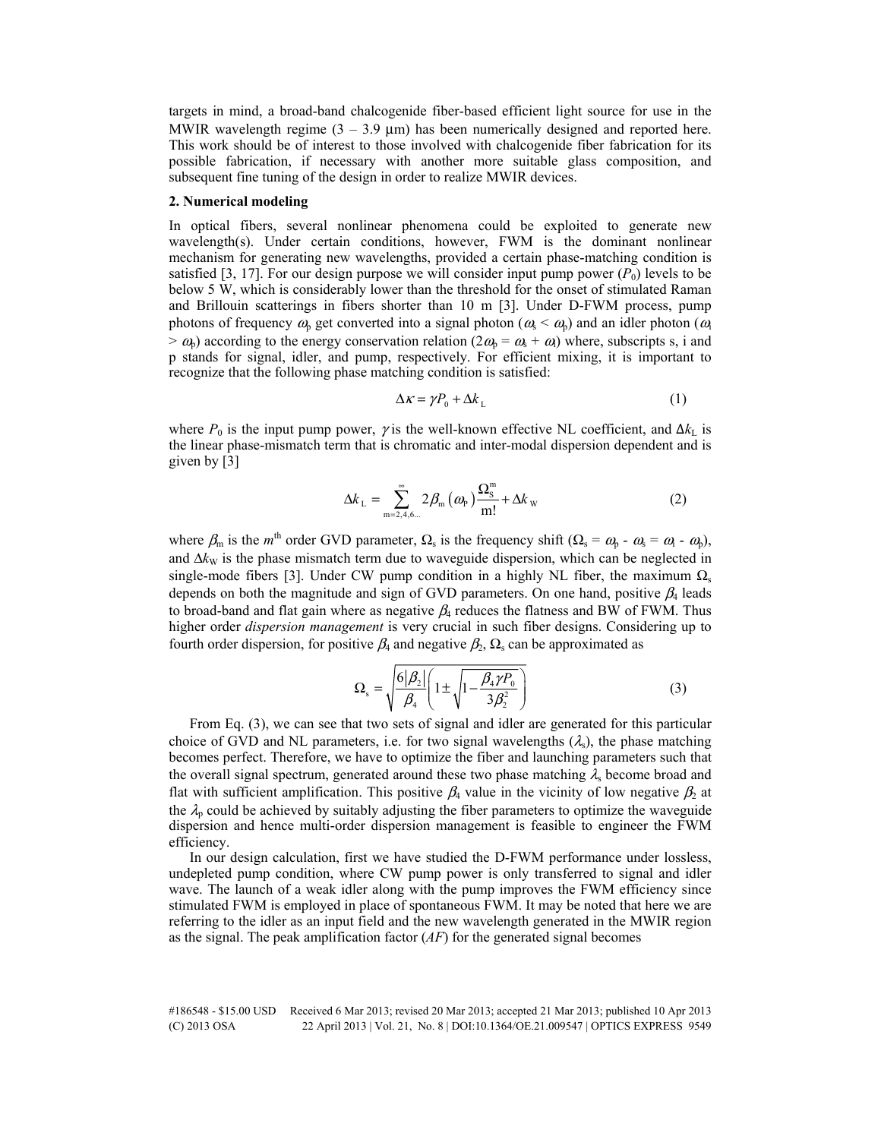targets in mind, a broad-band chalcogenide fiber-based efficient light source for use in the MWIR wavelength regime  $(3 - 3.9 \text{ }\mu\text{m})$  has been numerically designed and reported here. This work should be of interest to those involved with chalcogenide fiber fabrication for its possible fabrication, if necessary with another more suitable glass composition, and subsequent fine tuning of the design in order to realize MWIR devices.

#### **2. Numerical modeling**

In optical fibers, several nonlinear phenomena could be exploited to generate new wavelength(s). Under certain conditions, however, FWM is the dominant nonlinear mechanism for generating new wavelengths, provided a certain phase-matching condition is satisfied [3, 17]. For our design purpose we will consider input pump power  $(P_0)$  levels to be below 5 W, which is considerably lower than the threshold for the onset of stimulated Raman and Brillouin scatterings in fibers shorter than 10 m [3]. Under D-FWM process, pump photons of frequency  $\omega_p$  get converted into a signal photon ( $\omega_s < \omega_p$ ) and an idler photon ( $\omega_i$ )  $> \omega_0$ ) according to the energy conservation relation  $(2\omega_0 = \omega_s + \omega_s)$  where, subscripts s, i and p stands for signal, idler, and pump, respectively. For efficient mixing, it is important to recognize that the following phase matching condition is satisfied:

$$
\Delta \kappa = \gamma P_0 + \Delta k_L \tag{1}
$$

where  $P_0$  is the input pump power,  $\gamma$  is the well-known effective NL coefficient, and  $\Delta k_L$  is the linear phase-mismatch term that is chromatic and inter-modal dispersion dependent and is given by [3]

$$
\Delta k_{\rm L} = \sum_{\rm m=2,4,6...}^{\infty} 2\beta_{\rm m} (\omega_{\rm P}) \frac{\Omega_{\rm S}^{\rm m}}{\rm m!} + \Delta k_{\rm w}
$$
 (2)

where  $\beta_m$  is the m<sup>th</sup> order GVD parameter,  $\Omega_s$  is the frequency shift ( $\Omega_s = \omega_b - \omega_s = \omega_l - \omega_b$ ), and  $\Delta k_W$  is the phase mismatch term due to waveguide dispersion, which can be neglected in single-mode fibers [3]. Under CW pump condition in a highly NL fiber, the maximum  $\Omega_s$ depends on both the magnitude and sign of GVD parameters. On one hand, positive  $\beta_4$  leads to broad-band and flat gain where as negative  $\beta_4$  reduces the flatness and BW of FWM. Thus higher order *dispersion management* is very crucial in such fiber designs. Considering up to fourth order dispersion, for positive  $\beta_4$  and negative  $\beta_2$ ,  $\Omega_s$  can be approximated as

$$
\Omega_{\rm s} = \sqrt{\frac{6|\beta_2|}{\beta_4} \left(1 \pm \sqrt{1 - \frac{\beta_4 \gamma P_0}{3\beta_2^2}}\right)}
$$
(3)

From Eq. (3), we can see that two sets of signal and idler are generated for this particular choice of GVD and NL parameters, i.e. for two signal wavelengths  $(\lambda_s)$ , the phase matching becomes perfect. Therefore, we have to optimize the fiber and launching parameters such that the overall signal spectrum, generated around these two phase matching  $\lambda_s$  become broad and flat with sufficient amplification. This positive  $\beta_4$  value in the vicinity of low negative  $\beta_2$  at the  $\lambda_p$  could be achieved by suitably adjusting the fiber parameters to optimize the waveguide dispersion and hence multi-order dispersion management is feasible to engineer the FWM efficiency.

In our design calculation, first we have studied the D-FWM performance under lossless, undepleted pump condition, where CW pump power is only transferred to signal and idler wave. The launch of a weak idler along with the pump improves the FWM efficiency since stimulated FWM is employed in place of spontaneous FWM. It may be noted that here we are referring to the idler as an input field and the new wavelength generated in the MWIR region as the signal. The peak amplification factor (*AF*) for the generated signal becomes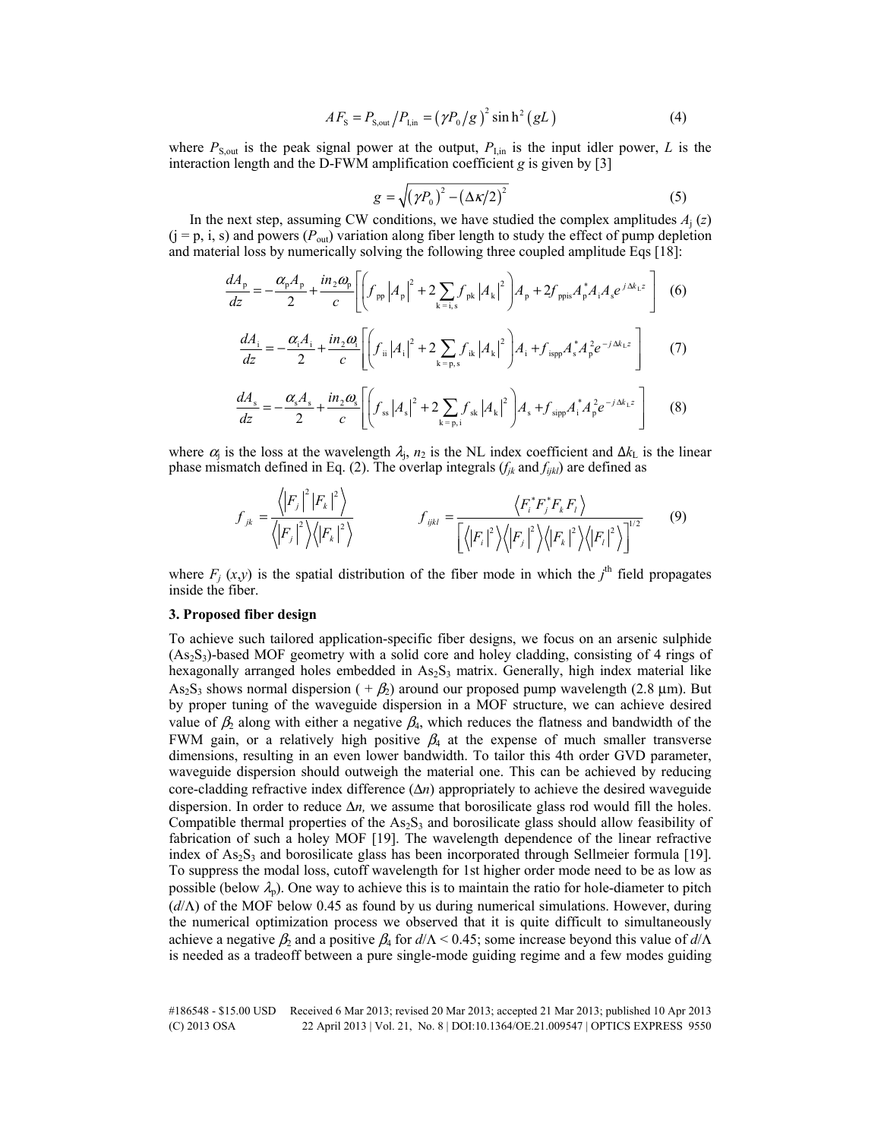$$
AF_{\rm S} = P_{\rm S,out} / P_{\rm I,in} = (\gamma P_0 / g)^2 \sinh^2(gL)
$$
 (4)

where  $P_{\text{S,out}}$  is the peak signal power at the output,  $P_{\text{I,in}}$  is the input idler power, *L* is the interaction length and the D-FWM amplification coefficient *g* is given by [3]

$$
g = \sqrt{\left(\gamma P_0\right)^2 - \left(\Delta \kappa/2\right)^2} \tag{5}
$$

In the next step, assuming CW conditions, we have studied the complex amplitudes  $A_j(z)$  $(j = p, i, s)$  and powers  $(P_{out})$  variation along fiber length to study the effect of pump depletion and material loss by numerically solving the following three coupled amplitude Eqs [18]:

$$
\frac{dA_{\rm p}}{dz} = -\frac{\alpha_{\rm p}A_{\rm p}}{2} + \frac{in_{2}\omega_{\rm p}}{c} \left[ \left( f_{\rm pp} |A_{\rm p}|^{2} + 2 \sum_{\rm k=i,s} f_{\rm pk} |A_{\rm k}|^{2} \right) A_{\rm p} + 2 f_{\rm ppis} A_{\rm p}^{*} A_{\rm i} A_{\rm s} e^{j \Delta k_{\rm L} z} \right] \tag{6}
$$
\n
$$
\frac{dA_{\rm i}}{dz} = -\frac{\alpha_{\rm i}A_{\rm i}}{2} + \frac{in_{2}\omega_{\rm i}}{c} \left[ \left( f_{\rm ii} |A_{\rm i}|^{2} + 2 \sum_{\rm k=p,s} f_{\rm ik} |A_{\rm k}|^{2} \right) A_{\rm i} + f_{\rm ispp} A_{\rm s}^{*} A_{\rm p}^{2} e^{-j \Delta k_{\rm L} z} \right] \tag{7}
$$

$$
\frac{dA_s}{dz} = -\frac{\alpha_s A_s}{2} + \frac{in_2 \omega_s}{c} \left[ \left( f_{ss} |A_s|^2 + 2 \sum_{k=p,i} f_{sk} |A_k|^2 \right) A_s + f_{sipp} A_i^* A_p^2 e^{-j \Delta k_L z} \right]
$$
(8)

where  $\alpha_j$  is the loss at the wavelength  $\lambda_j$ ,  $n_2$  is the NL index coefficient and  $\Delta k_L$  is the linear phase mismatch defined in Eq. (2). The overlap integrals  $(f_{jk}$  and  $f_{ijkl}$ ) are defined as

$$
f_{jk} = \frac{\langle \left| F_j \right|^2 \left| F_k \right|^2 \rangle}{\langle \left| F_j \right|^2 \rangle \langle \left| F_k \right|^2 \rangle} \qquad f_{ijkl} = \frac{\langle F_i^* F_j^* F_k F_l \rangle}{\left[ \langle \left| F_j \right|^2 \rangle \langle \left| F_k \right|^2 \rangle \langle \left| F_k \right|^2 \rangle \langle \left| F_l \right|^2 \rangle \right]^{1/2}} \qquad (9)
$$

where  $F_j(x,y)$  is the spatial distribution of the fiber mode in which the  $j^{\text{th}}$  field propagates inside the fiber.

## **3. Proposed fiber design**

To achieve such tailored application-specific fiber designs, we focus on an arsenic sulphide  $(As<sub>2</sub>S<sub>3</sub>)$ -based MOF geometry with a solid core and holey cladding, consisting of 4 rings of hexagonally arranged holes embedded in  $As_2S_3$  matrix. Generally, high index material like  $As<sub>2</sub>S<sub>3</sub>$  shows normal dispersion ( +  $\beta$ ) around our proposed pump wavelength (2.8 µm). But by proper tuning of the waveguide dispersion in a MOF structure, we can achieve desired value of  $\beta_2$  along with either a negative  $\beta_4$ , which reduces the flatness and bandwidth of the FWM gain, or a relatively high positive  $\beta_4$  at the expense of much smaller transverse dimensions, resulting in an even lower bandwidth. To tailor this 4th order GVD parameter, waveguide dispersion should outweigh the material one. This can be achieved by reducing core-cladding refractive index difference (Δ*n*) appropriately to achieve the desired waveguide dispersion. In order to reduce  $\Delta n$ , we assume that borosilicate glass rod would fill the holes. Compatible thermal properties of the  $As_2S_3$  and borosilicate glass should allow feasibility of fabrication of such a holey MOF [19]. The wavelength dependence of the linear refractive index of  $As_2S_3$  and borosilicate glass has been incorporated through Sellmeier formula [19]. To suppress the modal loss, cutoff wavelength for 1st higher order mode need to be as low as possible (below  $\lambda_p$ ). One way to achieve this is to maintain the ratio for hole-diameter to pitch (*d*/Λ) of the MOF below 0.45 as found by us during numerical simulations. However, during the numerical optimization process we observed that it is quite difficult to simultaneously achieve a negative  $\beta_2$  and a positive  $\beta_4$  for  $d/\Lambda < 0.45$ ; some increase beyond this value of  $d/\Lambda$ is needed as a tradeoff between a pure single-mode guiding regime and a few modes guiding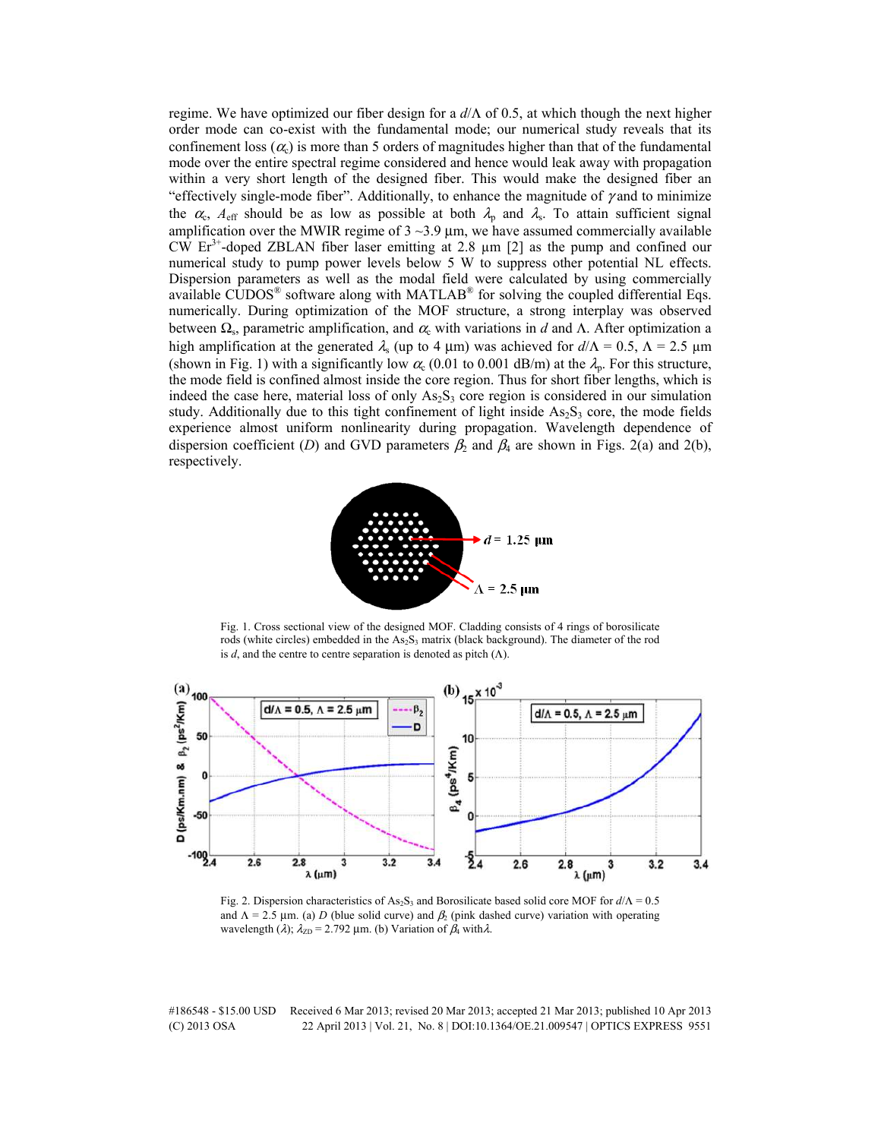regime. We have optimized our fiber design for a *d*/Λ of 0.5, at which though the next higher order mode can co-exist with the fundamental mode; our numerical study reveals that its confinement loss ( $\alpha$ ) is more than 5 orders of magnitudes higher than that of the fundamental mode over the entire spectral regime considered and hence would leak away with propagation within a very short length of the designed fiber. This would make the designed fiber an "effectively single-mode fiber". Additionally, to enhance the magnitude of  $\gamma$  and to minimize the  $\alpha_c$ ,  $A_{\text{eff}}$  should be as low as possible at both  $\lambda_p$  and  $\lambda_s$ . To attain sufficient signal amplification over the MWIR regime of  $3 \sim 3.9$  µm, we have assumed commercially available CW  $Er<sup>3+</sup>$ -doped ZBLAN fiber laser emitting at 2.8  $\mu$ m [2] as the pump and confined our numerical study to pump power levels below 5 W to suppress other potential NL effects. Dispersion parameters as well as the modal field were calculated by using commercially available  $\widehat{\text{CUDOS}}^{\text{\textregistered}}$  software along with MATLAB<sup>®</sup> for solving the coupled differential Eqs. numerically. During optimization of the MOF structure, a strong interplay was observed between  $\Omega_s$ , parametric amplification, and  $\alpha_s$  with variations in *d* and  $\Lambda$ . After optimization a high amplification at the generated  $\lambda_s$  (up to 4 μm) was achieved for  $d/\Lambda = 0.5$ ,  $\Lambda = 2.5$  μm (shown in Fig. 1) with a significantly low  $\alpha_c$  (0.01 to 0.001 dB/m) at the  $\lambda_p$ . For this structure, the mode field is confined almost inside the core region. Thus for short fiber lengths, which is indeed the case here, material loss of only  $As<sub>2</sub>S<sub>3</sub>$  core region is considered in our simulation study. Additionally due to this tight confinement of light inside  $As_2S_3$  core, the mode fields experience almost uniform nonlinearity during propagation. Wavelength dependence of dispersion coefficient (*D*) and GVD parameters  $\beta_2$  and  $\beta_4$  are shown in Figs. 2(a) and 2(b), respectively.



Fig. 1. Cross sectional view of the designed MOF. Cladding consists of 4 rings of borosilicate rods (white circles) embedded in the As<sub>2</sub>S<sub>3</sub> matrix (black background). The diameter of the rod is *d*, and the centre to centre separation is denoted as pitch  $(Λ)$ .



Fig. 2. Dispersion characteristics of As<sub>2</sub>S<sub>3</sub> and Borosilicate based solid core MOF for  $d/Λ = 0.5$ and  $\Lambda = 2.5$  µm. (a) *D* (blue solid curve) and  $\beta_2$  (pink dashed curve) variation with operating wavelength ( $\lambda$ );  $\lambda_{ZD}$  = 2.792 µm. (b) Variation of  $\beta_4$  with  $\lambda$ .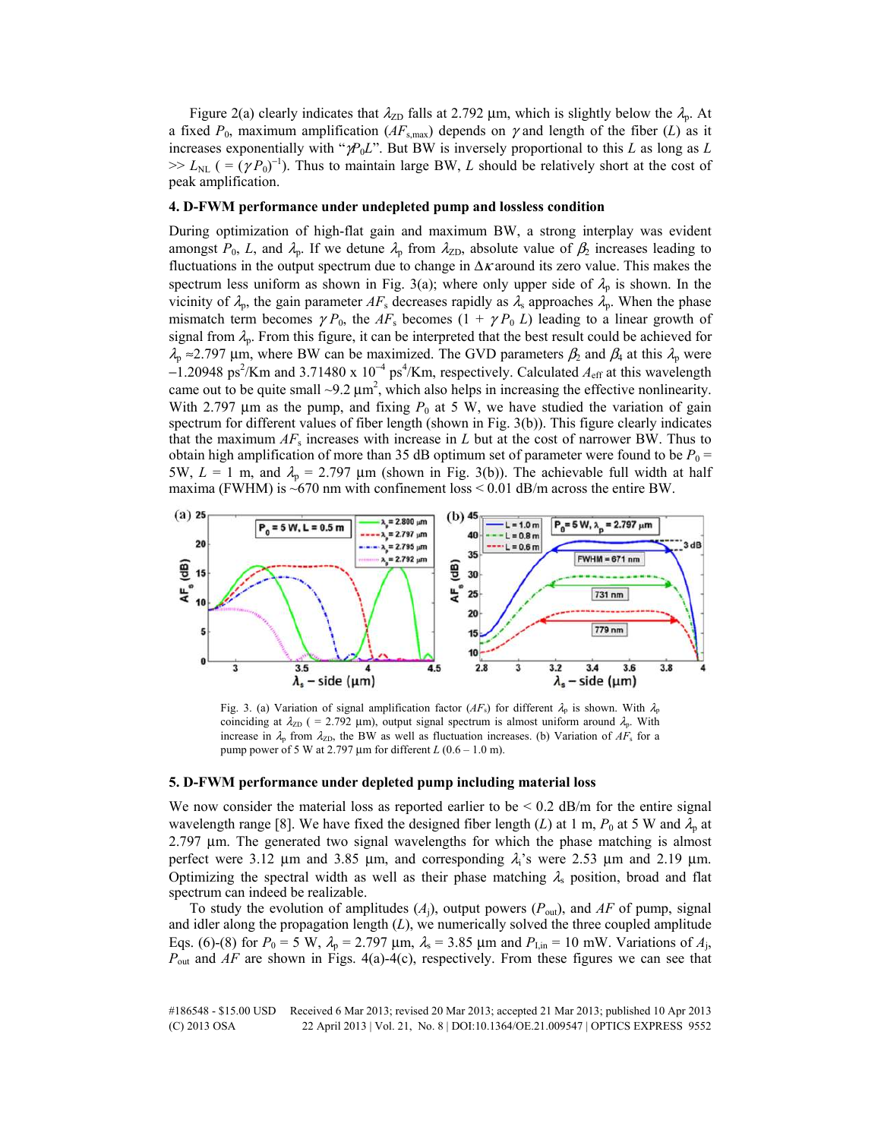Figure 2(a) clearly indicates that  $\lambda_{ZD}$  falls at 2.792 µm, which is slightly below the  $\lambda_{p}$ . At a fixed  $P_0$ , maximum amplification ( $AF_{s,\text{max}}$ ) depends on  $\gamma$  and length of the fiber (*L*) as it increases exponentially with "γ*P*0*L*". But BW is inversely proportional to this *L* as long as *L*  $>> L_{NL}$  ( = ( $\gamma P_0$ <sup>-1</sup>). Thus to maintain large BW, *L* should be relatively short at the cost of peak amplification.

## **4. D-FWM performance under undepleted pump and lossless condition**

During optimization of high-flat gain and maximum BW, a strong interplay was evident amongst  $P_0$ , *L*, and  $\lambda_p$ . If we detune  $\lambda_p$  from  $\lambda_{ZD}$ , absolute value of  $\beta_2$  increases leading to fluctuations in the output spectrum due to change in  $\Delta x$  around its zero value. This makes the spectrum less uniform as shown in Fig. 3(a); where only upper side of  $\lambda_p$  is shown. In the vicinity of  $\lambda_p$ , the gain parameter  $AF_s$  decreases rapidly as  $\lambda_s$  approaches  $\lambda_p$ . When the phase mismatch term becomes  $\gamma P_0$ , the  $AF_s$  becomes  $(1 + \gamma P_0 L)$  leading to a linear growth of signal from  $\lambda_p$ . From this figure, it can be interpreted that the best result could be achieved for  $\lambda_p \approx 2.797$  µm, where BW can be maximized. The GVD parameters  $\beta_2$  and  $\beta_4$  at this  $\lambda_p$  were  $-1.20948 \text{ ps}^2/\text{Km}$  and 3.71480 x 10<sup>-4</sup> ps<sup>4</sup>/Km, respectively. Calculated  $A_{\text{eff}}$  at this wavelength came out to be quite small  $\sim$ 9.2  $\mu$ m<sup>2</sup>, which also helps in increasing the effective nonlinearity. With 2.797  $\mu$ m as the pump, and fixing  $P_0$  at 5 W, we have studied the variation of gain spectrum for different values of fiber length (shown in Fig. 3(b)). This figure clearly indicates that the maximum  $AF_s$  increases with increase in *L* but at the cost of narrower BW. Thus to obtain high amplification of more than 35 dB optimum set of parameter were found to be  $P_0$  = 5W,  $L = 1$  m, and  $\lambda_p = 2.797$  µm (shown in Fig. 3(b)). The achievable full width at half maxima (FWHM) is  $\sim$  670 nm with confinement loss < 0.01 dB/m across the entire BW.



Fig. 3. (a) Variation of signal amplification factor  $(AF_s)$  for different  $\lambda_p$  is shown. With  $\lambda_p$ coinciding at  $\lambda_{ZD}$  ( = 2.792 µm), output signal spectrum is almost uniform around  $\lambda_{p}$ . With increase in  $\lambda_p$  from  $\lambda_{ZD}$ , the BW as well as fluctuation increases. (b) Variation of  $AF_s$  for a pump power of 5 W at 2.797 µm for different *L* (0.6 – 1.0 m).

## **5. D-FWM performance under depleted pump including material loss**

We now consider the material loss as reported earlier to be  $\leq 0.2$  dB/m for the entire signal wavelength range [8]. We have fixed the designed fiber length (*L*) at 1 m,  $P_0$  at 5 W and  $\lambda_p$  at 2.797 µm. The generated two signal wavelengths for which the phase matching is almost perfect were 3.12  $\mu$ m and 3.85  $\mu$ m, and corresponding  $\lambda_i$ 's were 2.53  $\mu$ m and 2.19  $\mu$ m. Optimizing the spectral width as well as their phase matching  $\lambda$ <sub>s</sub> position, broad and flat spectrum can indeed be realizable.

To study the evolution of amplitudes  $(A<sub>i</sub>)$ , output powers  $(P<sub>out</sub>)$ , and  $AF$  of pump, signal and idler along the propagation length (*L*), we numerically solved the three coupled amplitude Eqs. (6)-(8) for  $P_0 = 5 \text{ W}$ ,  $\lambda_p = 2.797 \text{ \mu m}$ ,  $\lambda_s = 3.85 \text{ \mu m}$  and  $P_{\text{I,in}} = 10 \text{ mW}$ . Variations of  $A_j$ , *P*out and *AF* are shown in Figs. 4(a)-4(c), respectively. From these figures we can see that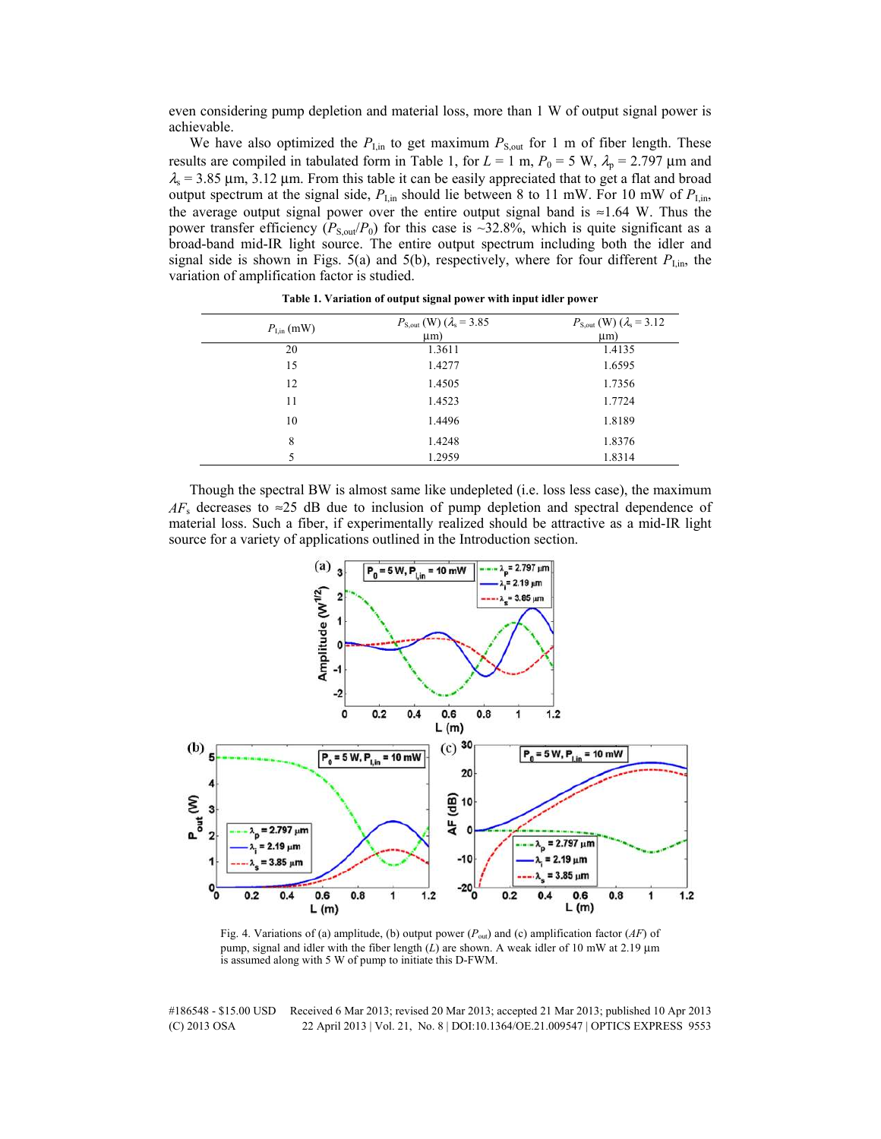even considering pump depletion and material loss, more than 1 W of output signal power is achievable.

We have also optimized the  $P_{\text{I,m}}$  to get maximum  $P_{\text{S,out}}$  for 1 m of fiber length. These results are compiled in tabulated form in Table 1, for  $L = 1$  m,  $P_0 = 5$  W,  $\lambda_p = 2.797$  µm and  $\lambda$ <sub>s</sub> = 3.85 µm, 3.12 µm. From this table it can be easily appreciated that to get a flat and broad output spectrum at the signal side,  $P_{\text{I,in}}$  should lie between 8 to 11 mW. For 10 mW of  $P_{\text{I,in}}$ , the average output signal power over the entire output signal band is  $\approx$ 1.64 W. Thus the power transfer efficiency ( $P_{S, \text{out}}/P_0$ ) for this case is ~32.8%, which is quite significant as a broad-band mid-IR light source. The entire output spectrum including both the idler and signal side is shown in Figs. 5(a) and 5(b), respectively, where for four different  $P_{\text{I,m}}$ , the variation of amplification factor is studied.

| $P_{\text{I,in}}\text{(mW)}$ | $P_{\text{S,out}}$ (W) ( $\lambda_{\text{s}}$ = 3.85 | $P_{\text{S,out}}$ (W) ( $\lambda_{\text{s}}$ = 3.12 |
|------------------------------|------------------------------------------------------|------------------------------------------------------|
|                              | $\mu$ m)                                             | $\mu$ m)                                             |
| 20                           | 1.3611                                               | 1.4135                                               |
| 15                           | 1.4277                                               | 1.6595                                               |
| 12                           | 1.4505                                               | 1.7356                                               |
| 11                           | 1.4523                                               | 1.7724                                               |
| 10                           | 1.4496                                               | 1.8189                                               |
| 8                            | 1.4248                                               | 1.8376                                               |
| 5                            | 1.2959                                               | 1.8314                                               |

**Table 1. Variation of output signal power with input idler power** 

Though the spectral BW is almost same like undepleted (i.e. loss less case), the maximum  $AF_s$  decreases to  $\approx$ 25 dB due to inclusion of pump depletion and spectral dependence of material loss. Such a fiber, if experimentally realized should be attractive as a mid-IR light source for a variety of applications outlined in the Introduction section.



Fig. 4. Variations of (a) amplitude, (b) output power (*P*out) and (c) amplification factor (*AF*) of pump, signal and idler with the fiber length (*L*) are shown. A weak idler of 10 mW at 2.19  $\mu$ m is assumed along with 5 W of pump to initiate this D-FWM.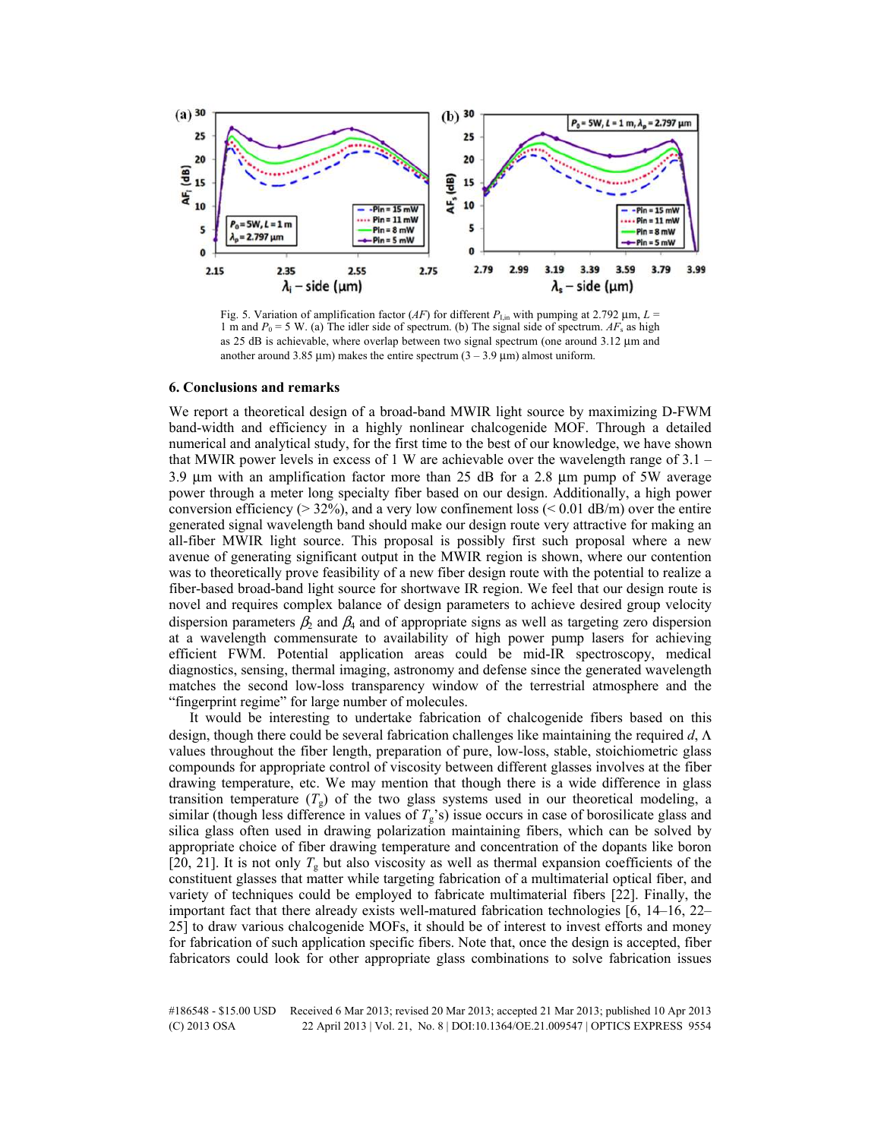

Fig. 5. Variation of amplification factor (*AF*) for different  $P_{\text{I,in}}$  with pumping at 2.792  $\mu$ m,  $L =$ 1 m and  $P_0 = 5$  W. (a) The idler side of spectrum. (b) The signal side of spectrum.  $AF_s$  as high as 25 dB is achievable, where overlap between two signal spectrum (one around 3.12 µm and another around 3.85  $\mu$ m) makes the entire spectrum (3 – 3.9  $\mu$ m) almost uniform.

## **6. Conclusions and remarks**

We report a theoretical design of a broad-band MWIR light source by maximizing D-FWM band-width and efficiency in a highly nonlinear chalcogenide MOF. Through a detailed numerical and analytical study, for the first time to the best of our knowledge, we have shown that MWIR power levels in excess of 1 W are achievable over the wavelength range of 3.1 – 3.9 µm with an amplification factor more than 25 dB for a 2.8 µm pump of 5W average power through a meter long specialty fiber based on our design. Additionally, a high power conversion efficiency ( $> 32\%$ ), and a very low confinement loss ( $< 0.01$  dB/m) over the entire generated signal wavelength band should make our design route very attractive for making an all-fiber MWIR light source. This proposal is possibly first such proposal where a new avenue of generating significant output in the MWIR region is shown, where our contention was to theoretically prove feasibility of a new fiber design route with the potential to realize a fiber-based broad-band light source for shortwave IR region. We feel that our design route is novel and requires complex balance of design parameters to achieve desired group velocity dispersion parameters  $\beta_2$  and  $\beta_4$  and of appropriate signs as well as targeting zero dispersion at a wavelength commensurate to availability of high power pump lasers for achieving efficient FWM. Potential application areas could be mid-IR spectroscopy, medical diagnostics, sensing, thermal imaging, astronomy and defense since the generated wavelength matches the second low-loss transparency window of the terrestrial atmosphere and the "fingerprint regime" for large number of molecules.

It would be interesting to undertake fabrication of chalcogenide fibers based on this design, though there could be several fabrication challenges like maintaining the required *d*, Λ values throughout the fiber length, preparation of pure, low-loss, stable, stoichiometric glass compounds for appropriate control of viscosity between different glasses involves at the fiber drawing temperature, etc. We may mention that though there is a wide difference in glass transition temperature  $(T<sub>g</sub>)$  of the two glass systems used in our theoretical modeling, a similar (though less difference in values of  $T_g$ 's) issue occurs in case of borosilicate glass and silica glass often used in drawing polarization maintaining fibers, which can be solved by appropriate choice of fiber drawing temperature and concentration of the dopants like boron [20, 21]. It is not only  $T_g$  but also viscosity as well as thermal expansion coefficients of the constituent glasses that matter while targeting fabrication of a multimaterial optical fiber, and variety of techniques could be employed to fabricate multimaterial fibers [22]. Finally, the important fact that there already exists well-matured fabrication technologies [6, 14–16, 22– 25] to draw various chalcogenide MOFs, it should be of interest to invest efforts and money for fabrication of such application specific fibers. Note that, once the design is accepted, fiber fabricators could look for other appropriate glass combinations to solve fabrication issues